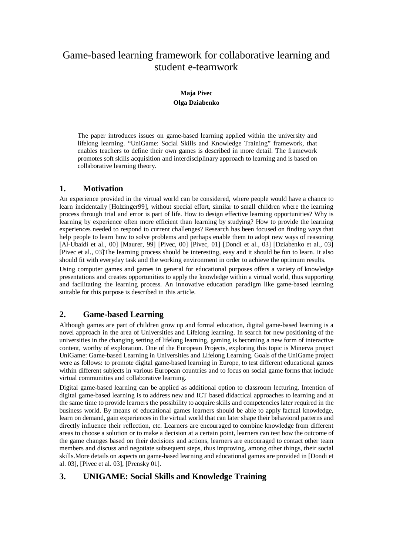# Game-based learning framework for collaborative learning and student e-teamwork

# **Maja Pivec Olga Dziabenko**

The paper introduces issues on game-based learning applied within the university and lifelong learning. "UniGame: Social Skills and Knowledge Training" framework, that enables teachers to define their own games is described in more detail. The framework promotes soft skills acquisition and interdisciplinary approach to learning and is based on collaborative learning theory.

# **1. Motivation**

An experience provided in the virtual world can be considered, where people would have a chance to learn incidentally [Holzinger99], without special effort, similar to small children where the learning process through trial and error is part of life. How to design effective learning opportunities? Why is learning by experience often more efficient than learning by studying? How to provide the learning experiences needed to respond to current challenges? Research has been focused on finding ways that help people to learn how to solve problems and perhaps enable them to adopt new ways of reasoning [Al-Ubaidi et al., 00] [Maurer, 99] [Pivec, 00] [Pivec, 01] [Dondi et al., 03] [Dziabenko et al., 03] [Pivec et al., 03]The learning process should be interesting, easy and it should be fun to learn. It also should fit with everyday task and the working environment in order to achieve the optimum results.

Using computer games and games in general for educational purposes offers a variety of knowledge presentations and creates opportunities to apply the knowledge within a virtual world, thus supporting and facilitating the learning process. An innovative education paradigm like game-based learning suitable for this purpose is described in this article.

# **2. Game-based Learning**

Although games are part of children grow up and formal education, digital game-based learning is a novel approach in the area of Universities and Lifelong learning. In search for new positioning of the universities in the changing setting of lifelong learning, gaming is becoming a new form of interactive content, worthy of exploration. One of the European Projects, exploring this topic is Minerva project UniGame: Game-based Learning in Universities and Lifelong Learning. Goals of the UniGame project were as follows: to promote digital game-based learning in Europe, to test different educational games within different subjects in various European countries and to focus on social game forms that include virtual communities and collaborative learning.

Digital game-based learning can be applied as additional option to classroom lecturing. Intention of digital game-based learning is to address new and ICT based didactical approaches to learning and at the same time to provide learners the possibility to acquire skills and competencies later required in the business world. By means of educational games learners should be able to apply factual knowledge, learn on demand, gain experiences in the virtual world that can later shape their behavioral patterns and directly influence their reflection, etc. Learners are encouraged to combine knowledge from different areas to choose a solution or to make a decision at a certain point, learners can test how the outcome of the game changes based on their decisions and actions, learners are encouraged to contact other team members and discuss and negotiate subsequent steps, thus improving, among other things, their social skills.More details on aspects on game-based learning and educational games are provided in [Dondi et al. 03], [Pivec et al. 03], [Prensky 01].

# **3. UNIGAME: Social Skills and Knowledge Training**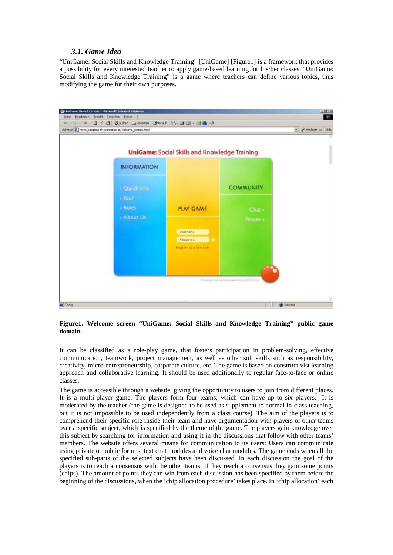## *3.1. Game Idea*

"UniGame: Social Skills and Knowledge Training" [UniGame] [Figure1] is a framework that provides a possibility for every interested teacher to apply game-based learning for his/her classes. "UniGame: Social Skills and Knowledge Training" is a game where teachers can define various topics, thus modifying the game for their own purposes.



#### **Figure1. Welcome screen "UniGame: Social Skills and Knowledge Training" public game domain.**

It can be classified as a role-play game, that fosters participation in problem-solving, effective communication, teamwork, project management, as well as other soft skills such as responsibility, creativity, micro-entrepreneurship, corporate culture, etc. The game is based on constructivist learning approach and collaborative learning. It should be used additionally to regular face-to-face or online classes.

The game is accessible through a website, giving the opportunity to users to join from different places. It is a multi-player game. The players form four teams, which can have up to six players. It is moderated by the teacher (the game is designed to be used as supplement to normal in-class teaching, but it is not impossible to be used independently from a class course). The aim of the players is to comprehend their specific role inside their team and have argumentation with players of other teams over a specific subject, which is specified by the theme of the game. The players gain knowledge over this subject by searching for information and using it in the discussions that follow with other teams' members. The website offers several means for communication to its users: Users can communicate using private or public forums, text chat modules and voice chat modules. The game ends when all the specified sub-parts of the selected subjects have been discussed. In each discussion the goal of the players is to reach a consensus with the other teams. If they reach a consensus they gain some points (chips). The amount of points they can win from each discussion has been specified by them before the beginning of the discussions, when the 'chip allocation procedure' takes place. In 'chip allocation' each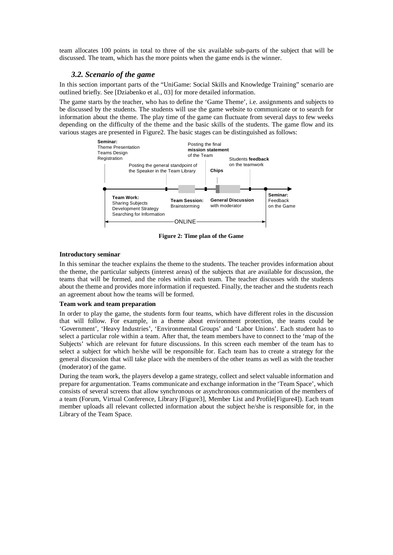team allocates 100 points in total to three of the six available sub-parts of the subject that will be discussed. The team, which has the more points when the game ends is the winner.

### *3.2. Scenario of the game*

In this section important parts of the "UniGame: Social Skills and Knowledge Training" scenario are outlined briefly. See [Dziabenko et al., 03] for more detailed information.

The game starts by the teacher, who has to define the 'Game Theme', i.e. assignments and subjects to be discussed by the students. The students will use the game website to communicate or to search for information about the theme. The play time of the game can fluctuate from several days to few weeks depending on the difficulty of the theme and the basic skills of the students. The game flow and its various stages are presented in Figure2. The basic stages can be distinguished as follows:



**Figure 2: Time plan of the Game** 

#### **Introductory seminar**

In this seminar the teacher explains the theme to the students. The teacher provides information about the theme, the particular subjects (interest areas) of the subjects that are available for discussion, the teams that will be formed, and the roles within each team. The teacher discusses with the students about the theme and provides more information if requested. Finally, the teacher and the students reach an agreement about how the teams will be formed.

#### **Team work and team preparation**

In order to play the game, the students form four teams, which have different roles in the discussion that will follow. For example, in a theme about environment protection, the teams could be 'Government', 'Heavy Industries', 'Environmental Groups' and 'Labor Unions'. Each student has to select a particular role within a team. After that, the team members have to connect to the 'map of the Subjects' which are relevant for future discussions. In this screen each member of the team has to select a subject for which he/she will be responsible for. Each team has to create a strategy for the general discussion that will take place with the members of the other teams as well as with the teacher (moderator) of the game.

During the team work, the players develop a game strategy, collect and select valuable information and prepare for argumentation. Teams communicate and exchange information in the 'Team Space', which consists of several screens that allow synchronous or asynchronous communication of the members of a team (Forum, Virtual Conference, Library [Figure3], Member List and Profile[Figure4]). Each team member uploads all relevant collected information about the subject he/she is responsible for, in the Library of the Team Space.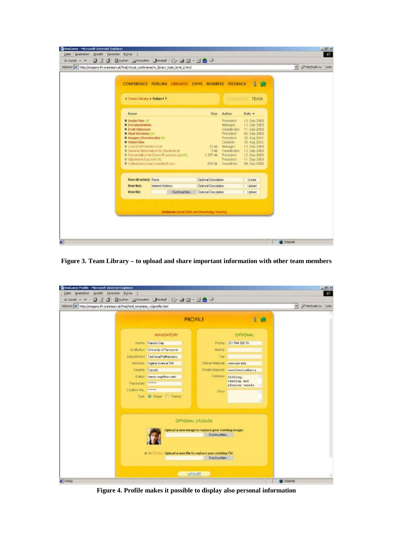| Adjesse [43] http://uniganve.fh-joanneum.at/final/virtual_conference/vc_library_team_level_2.html |                                                                                                                                                                                                                                                                                                                                               |                                              |             |                                                                                                                                                                           | ∙ | wechseln zu Links |  |
|---------------------------------------------------------------------------------------------------|-----------------------------------------------------------------------------------------------------------------------------------------------------------------------------------------------------------------------------------------------------------------------------------------------------------------------------------------------|----------------------------------------------|-------------|---------------------------------------------------------------------------------------------------------------------------------------------------------------------------|---|-------------------|--|
|                                                                                                   | CONFERENCE FORUMS LIBRARIES CHIPS MEMBERS FEEDBACK<br>Fleam Library F Subject 1                                                                                                                                                                                                                                                               |                                              |             | 1<br><b>B</b><br>COMMON TEAM                                                                                                                                              |   |                   |  |
| <b>Names</b>                                                                                      |                                                                                                                                                                                                                                                                                                                                               |                                              | Size Juthor | Date =                                                                                                                                                                    |   |                   |  |
| <b>B</b> Video Files:                                                                             | <b>M Audio Files (K)</b><br><b>B</b> Decumentation<br><b>Braft Releases</b><br><b>B Final Vorsions (K)</b><br># Images (Thumbnako (H)<br><b>It Cost Draft Version Sizis</b><br>图 General Information for Students bf<br># Presentifion for Demo Purposes pot (K)<br><b>B</b> http://www.fca.com/.ddi<br>Il Instructions (very important) dos- |                                              |             | 13. Sep 2003<br>12.9652003<br>11, 840 2003<br>02. Sep 2003<br>28. Aug 2003<br>26. Aug 2003<br>13: Sep 2003<br>12. Sep 2003<br>12. Sep 2003<br>11.8ep 2003<br>09. Sep 2003 |   |                   |  |
| New directory. Name                                                                               |                                                                                                                                                                                                                                                                                                                                               | Opfional Description<br>Optional Description |             | <b>Create</b>                                                                                                                                                             |   |                   |  |
| <b>New Bak:</b>                                                                                   | Internet Address                                                                                                                                                                                                                                                                                                                              |                                              |             | Listond                                                                                                                                                                   |   |                   |  |
| New file:                                                                                         | Durchsuchen.                                                                                                                                                                                                                                                                                                                                  | Opfional Description                         |             | <b>Upload</b>                                                                                                                                                             |   |                   |  |
|                                                                                                   | Unitianse: Social Skills and Knowledge Training                                                                                                                                                                                                                                                                                               |                                              |             |                                                                                                                                                                           |   |                   |  |

**Figure 3. Team Library – to upload and share important information with other team members** 

| Datei Bearbeiten Ansicht Eavoriten Eutras ?<br>42mok - → - 〇 〇 〇 〇3.sten 山Foronten (Jiredad 日 - 山口 - 山田 - ) |                                                                 |                                                                    |                               | 47                     |
|-------------------------------------------------------------------------------------------------------------|-----------------------------------------------------------------|--------------------------------------------------------------------|-------------------------------|------------------------|
| Adjesse [42] http://unigana.fh-joannaum.at/final/htnll_templates_v2/profile.html                            |                                                                 |                                                                    |                               | wechseln zu Links<br>₩ |
|                                                                                                             | <b>PROFILE</b>                                                  |                                                                    |                               |                        |
|                                                                                                             | <b>MANDATORY</b>                                                |                                                                    | OPTIONAL                      |                        |
|                                                                                                             | Name: France Use                                                |                                                                    | Phone 23 / 544 926 16         |                        |
|                                                                                                             | institution University of Vancouver                             | <b>Mobile</b>                                                      |                               |                        |
|                                                                                                             | Department Technical Mathematics                                | Fer                                                                |                               |                        |
|                                                                                                             | Address Ingenio Avenue 534                                      | Official Website                                                   | миницом едц                   |                        |
|                                                                                                             | Country Cavada                                                  | Private Website                                                    | www.francis-online.ca         |                        |
|                                                                                                             | E-Mail: hancic user@uov.edu                                     |                                                                    | Hobbies fishing,              |                        |
| Password                                                                                                    | <b>BROWNER</b>                                                  |                                                                    | reading and<br>playing tennis |                        |
| Contint PW.                                                                                                 | 245553322                                                       | Office                                                             |                               |                        |
|                                                                                                             | Type G Player C Trainer                                         |                                                                    |                               |                        |
|                                                                                                             |                                                                 |                                                                    |                               |                        |
|                                                                                                             |                                                                 | OPTIONAL UPLOADS                                                   |                               |                        |
|                                                                                                             |                                                                 | Upload a new image to replace your existing image:<br>Durchtuchen. |                               |                        |
|                                                                                                             |                                                                 |                                                                    |                               |                        |
|                                                                                                             | the life CV doc. Upload a new file to replace your existing CV: | Discharchen                                                        |                               |                        |
|                                                                                                             |                                                                 | <b>UPDATE</b>                                                      |                               |                        |
| 47 Fertig                                                                                                   |                                                                 |                                                                    |                               | <b>D</b> Internet      |

**Figure 4. Profile makes it possible to display also personal information**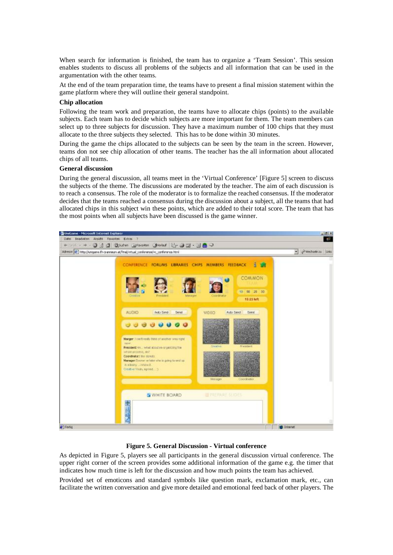When search for information is finished, the team has to organize a 'Team Session'. This session enables students to discuss all problems of the subjects and all information that can be used in the argumentation with the other teams.

At the end of the team preparation time, the teams have to present a final mission statement within the game platform where they will outline their general standpoint.

#### **Chip allocation**

Following the team work and preparation, the teams have to allocate chips (points) to the available subjects. Each team has to decide which subjects are more important for them. The team members can select up to three subjects for discussion. They have a maximum number of 100 chips that they must allocate to the three subjects they selected. This has to be done within 30 minutes.

During the game the chips allocated to the subjects can be seen by the team in the screen. However, teams don not see chip allocation of other teams. The teacher has the all information about allocated chips of all teams.

#### **General discussion**

During the general discussion, all teams meet in the 'Virtual Conference' [Figure 5] screen to discuss the subjects of the theme. The discussions are moderated by the teacher. The aim of each discussion is to reach a consensus. The role of the moderator is to formalize the reached consensus. If the moderator decides that the teams reached a consensus during the discussion about a subject, all the teams that had allocated chips in this subject win these points, which are added to their total score. The team that has the most points when all subjects have been discussed is the game winner.



#### **Figure 5. General Discussion - Virtual conference**

As depicted in Figure 5, players see all participants in the general discussion virtual conference. The upper right corner of the screen provides some additional information of the game e.g. the timer that indicates how much time is left for the discussion and how much points the team has achieved.

Provided set of emoticons and standard symbols like question mark, exclamation mark, etc., can facilitate the written conversation and give more detailed and emotional feed back of other players. The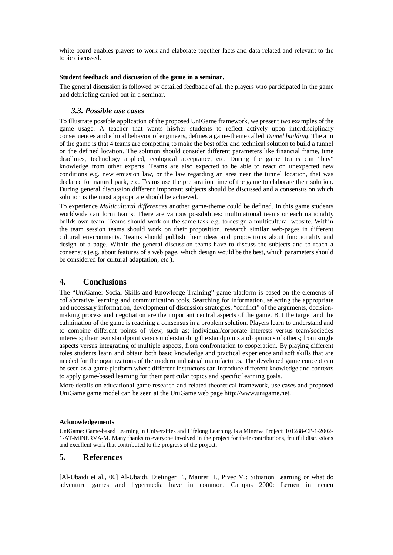white board enables players to work and elaborate together facts and data related and relevant to the topic discussed.

#### **Student feedback and discussion of the game in a seminar.**

The general discussion is followed by detailed feedback of all the players who participated in the game and debriefing carried out in a seminar.

### *3.3. Possible use cases*

To illustrate possible application of the proposed UniGame framework, we present two examples of the game usage. A teacher that wants his/her students to reflect actively upon interdisciplinary consequences and ethical behavior of engineers, defines a game-theme called *Tunnel building*. The aim of the game is that 4 teams are competing to make the best offer and technical solution to build a tunnel on the defined location. The solution should consider different parameters like financial frame, time deadlines, technology applied, ecological acceptance, etc. During the game teams can "buy" knowledge from other experts. Teams are also expected to be able to react on unexpected new conditions e.g. new emission law, or the law regarding an area near the tunnel location, that was declared for natural park, etc. Teams use the preparation time of the game to elaborate their solution. During general discussion different important subjects should be discussed and a consensus on which solution is the most appropriate should be achieved.

To experience *Multicultural differences* another game-theme could be defined. In this game students worldwide can form teams. There are various possibilities: multinational teams or each nationality builds own team. Teams should work on the same task e.g. to design a multicultural website. Within the team session teams should work on their proposition, research similar web-pages in different cultural environments. Teams should publish their ideas and propositions about functionality and design of a page. Within the general discussion teams have to discuss the subjects and to reach a consensus (e.g. about features of a web page, which design would be the best, which parameters should be considered for cultural adaptation, etc.).

# **4. Conclusions**

The "UniGame: Social Skills and Knowledge Training" game platform is based on the elements of collaborative learning and communication tools. Searching for information, selecting the appropriate and necessary information, development of discussion strategies, "conflict" of the arguments, decisionmaking process and negotiation are the important central aspects of the game. But the target and the culmination of the game is reaching a consensus in a problem solution. Players learn to understand and to combine different points of view, such as: individual/corporate interests versus team/societies interests; their own standpoint versus understanding the standpoints and opinions of others; from single aspects versus integrating of multiple aspects, from confrontation to cooperation. By playing different roles students learn and obtain both basic knowledge and practical experience and soft skills that are needed for the organizations of the modern industrial manufactures. The developed game concept can be seen as a game platform where different instructors can introduce different knowledge and contexts to apply game-based learning for their particular topics and specific learning goals.

More details on educational game research and related theoretical framework, use cases and proposed UniGame game model can be seen at the UniGame web page<http://www.unigame.net>.

#### **Acknowledgements**

UniGame: Game-based Learning in Universities and Lifelong Learning. is a Minerva Project: 101288-CP-1-2002- 1-AT-MINERVA-M. Many thanks to everyone involved in the project for their contributions, fruitful discussions and excellent work that contributed to the progress of the project.

### **5. References**

[Al-Ubaidi et al., 00] Al-Ubaidi, Dietinger T., Maurer H., Pivec M.: Situation Learning or what do adventure games and hypermedia have in common. Campus 2000: Lernen in neuen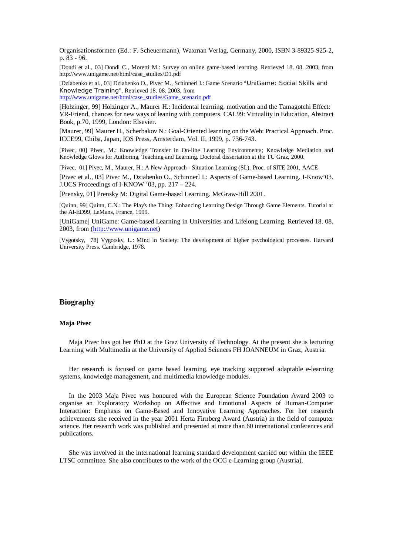Organisationsformen (Ed.: F. Scheuermann), Waxman Verlag, Germany, 2000, ISBN 3-89325-925-2, p. 83 - 96.

[Dondi et al., 03] Dondi C., Moretti M.: Survey on online game-based learning. Retrieved 18. 08. 2003, from [http://www.unigame.net/html/case\\_studies/D1.pdf](http://www.unigame.net/html/case_studies/D1.pdf)

[Dziabenko et al., 03] Dziabenko O., Pivec M., Schinnerl I.: Game Scenario "*UniGame: Social Skills and Knowledge Training*". Retrieved 18. 08. 2003, from [http://www.unigame.net/html/case\\_studies/Game\\_scenario.pdf](http://www.unigame.net/html/case_studies/Game_scenario.pdf)

[Holzinger, 99] Holzinger A., Maurer H.: Incidental learning, motivation and the Tamagotchi Effect: VR-Friend, chances for new ways of leaning with computers. CAL99: Virtuality in Education, Abstract Book, p.70, 1999, London: Elsevier.

[Maurer, 99] Maurer H., Scherbakov N.: Goal-Oriented learning on the Web: Practical Approach. Proc. ICCE99, Chiba, Japan, IOS Press, Amsterdam, Vol. II, 1999, p. 736-743.

[Pivec, 00] Pivec, M.: Knowledge Transfer in On-line Learning Environments; Knowledge Mediation and Knowledge Glows for Authoring, Teaching and Learning. Doctoral dissertation at the TU Graz, 2000.

[Pivec, 01] Pivec, M., Maurer, H.: A New Approach - Situation Learning (SL). Proc. of SITE 2001, AACE

[Pivec et al., 03] Pivec M., Dziabenko O., Schinnerl I.: Aspects of Game-based Learning. I-Know'03. J.UCS Proceedings of I-KNOW '03, pp. 217 – 224.

[Prensky, 01] Prensky M: Digital Game-based Learning. McGraw-Hill 2001.

[Quinn, 99] Quinn, C.N.: The Play's the Thing: Enhancing Learning Design Through Game Elements. Tutorial at the AI-ED99, LeMans, France, 1999.

[UniGame] UniGame: Game-based Learning in Universities and Lifelong Learning. Retrieved 18. 08. 2003, from (<http://www.unigame.net>)

[Vygotsky, 78] Vygotsky, L.: Mind in Society: The development of higher psychological processes. Harvard University Press. Cambridge, 1978.

### **Biography**

#### **Maja Pivec**

Maja Pivec has got her PhD at the Graz University of Technology. At the present she is lecturing Learning with Multimedia at the University of Applied Sciences FH JOANNEUM in Graz, Austria.

Her research is focused on game based learning, eye tracking supported adaptable e-learning systems, knowledge management, and multimedia knowledge modules.

In the 2003 Maja Pivec was honoured with the European Science Foundation Award 2003 to organise an Exploratory Workshop on Affective and Emotional Aspects of Human-Computer Interaction: Emphasis on Game-Based and Innovative Learning Approaches. For her research achievements she received in the year 2001 Herta Firnberg Award (Austria) in the field of computer science. Her research work was published and presented at more than 60 international conferences and publications.

She was involved in the international learning standard development carried out within the IEEE LTSC committee. She also contributes to the work of the OCG e-Learning group (Austria).